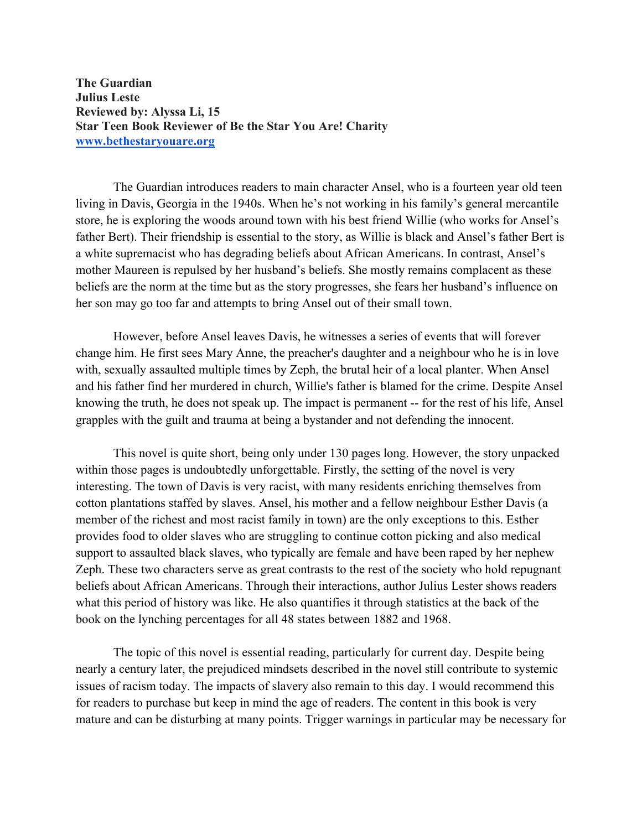**The Guardian Julius Leste Reviewed by: Alyssa Li, 15 Star Teen Book Reviewer of Be the Star You Are! Charity www.bethestaryouare.org**

The Guardian introduces readers to main character Ansel, who is a fourteen year old teen living in Davis, Georgia in the 1940s. When he's not working in his family's general mercantile store, he is exploring the woods around town with his best friend Willie (who works for Ansel's father Bert). Their friendship is essential to the story, as Willie is black and Ansel's father Bert is a white supremacist who has degrading beliefs about African Americans. In contrast, Ansel's mother Maureen is repulsed by her husband's beliefs. She mostly remains complacent as these beliefs are the norm at the time but as the story progresses, she fears her husband's influence on her son may go too far and attempts to bring Ansel out of their small town.

However, before Ansel leaves Davis, he witnesses a series of events that will forever change him. He first sees Mary Anne, the preacher's daughter and a neighbour who he is in love with, sexually assaulted multiple times by Zeph, the brutal heir of a local planter. When Ansel and his father find her murdered in church, Willie's father is blamed for the crime. Despite Ansel knowing the truth, he does not speak up. The impact is permanent -- for the rest of his life, Ansel grapples with the guilt and trauma at being a bystander and not defending the innocent.

This novel is quite short, being only under 130 pages long. However, the story unpacked within those pages is undoubtedly unforgettable. Firstly, the setting of the novel is very interesting. The town of Davis is very racist, with many residents enriching themselves from cotton plantations staffed by slaves. Ansel, his mother and a fellow neighbour Esther Davis (a member of the richest and most racist family in town) are the only exceptions to this. Esther provides food to older slaves who are struggling to continue cotton picking and also medical support to assaulted black slaves, who typically are female and have been raped by her nephew Zeph. These two characters serve as great contrasts to the rest of the society who hold repugnant beliefs about African Americans. Through their interactions, author Julius Lester shows readers what this period of history was like. He also quantifies it through statistics at the back of the book on the lynching percentages for all 48 states between 1882 and 1968.

The topic of this novel is essential reading, particularly for current day. Despite being nearly a century later, the prejudiced mindsets described in the novel still contribute to systemic issues of racism today. The impacts of slavery also remain to this day. I would recommend this for readers to purchase but keep in mind the age of readers. The content in this book is very mature and can be disturbing at many points. Trigger warnings in particular may be necessary for